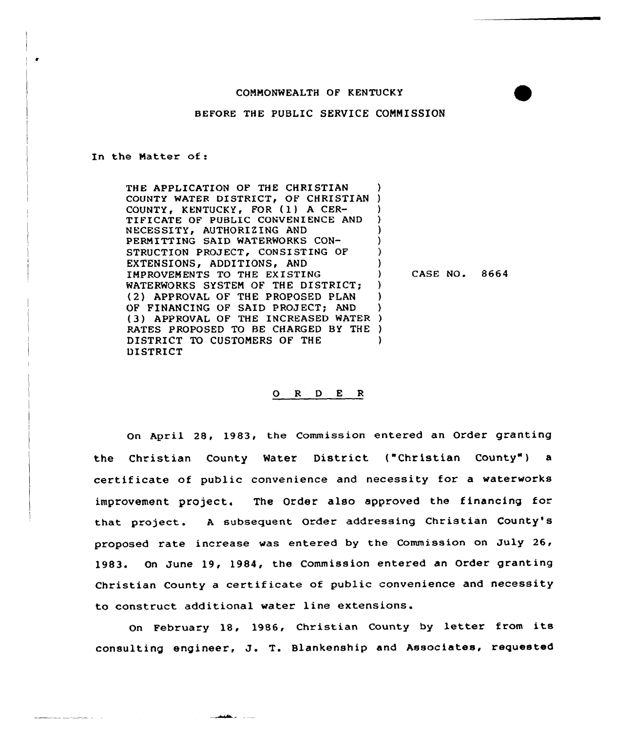## COMMONWEALTH OF KENTUCKY

## BEFORE THE PUBLIC SERVICE CONNISSION

In the Matter of:

THE APPLICATION OF THE CHRISTIAN COUNTY WATER DISTRICT, OF CHRISTIAN ) COUNTY, KENTUCKY, FOR (1) A CER- )<br>TIFICATE OF PUBLIC CONVENIENCE AND TIFICATE OF PUBLIC CONVENIENCE AND NECESSITY, AUTHORIZING AND PERMITTING SAID WATERWORKS CON-STRUCTION PROJECT, CONSISTING OF ) EXTENSIONS, ADDITIONS, AND IMPROVEMENTS TO THE EXISTING (19) WATERWORKS SYSTEM OF THE DISTRICT; (2) APPROVAL OF THE PROPOSED PLAN ) OF FINANCING OF SAID PROJECT; AND (3) APPROVAL OF THE INCREASED WATER ) RATES PROPOSED TO BE CHARGED BY THE ) DISTRICT TO CUSTOMERS OF THE DISTRICT

CASE NO. 8664

## 0 <sup>R</sup> <sup>D</sup> E <sup>R</sup>

On April 28, 1983, the Commission entered an Order granting the Christian County Water District ("Christian County") a certificate of public convenience and necessity for a waterworks improvement project. The Order also approved the financing for that project. <sup>A</sup> subsequent Order addressing Christian County's proposed rate increase was entered by the Commission on July 26, 1983. On June 19, 1984, the Commission entered an Order granting Christian County <sup>a</sup> certificate of public convenience and necessity to construct additional water line extensions.

On February 18, 1986, Christian County by letter from its consulting engineer, J. T. Blankenship and Associates, requested

**Committee of the Committee**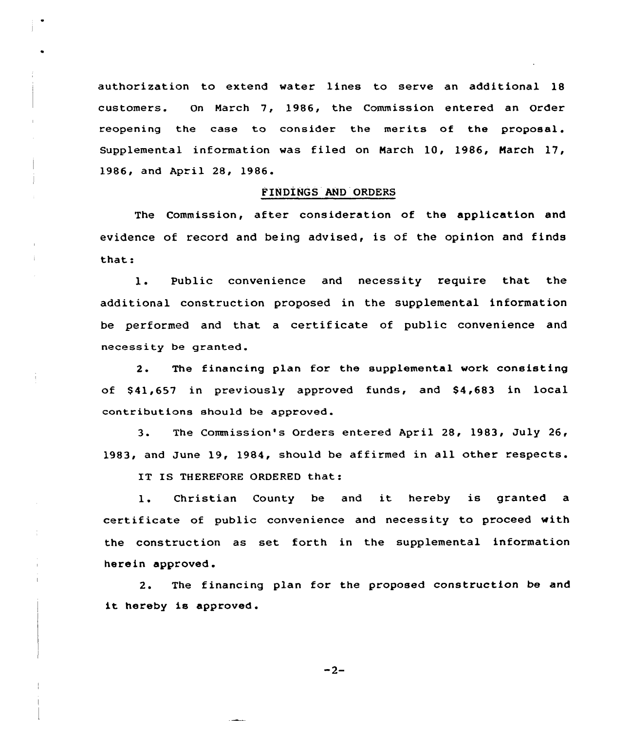authorization to extend water lines to serve an additional 18 customers. On March 7, 1986, the Commission entered an Order reopening the case to consider the merits of the proposal. Supplemental information was filed on March 10, 1986, March 17, 1986, and April 28, 1986.

## FINDINGS AND ORDERS

The Commission, after consideration of the application and evidence of record and being advised, is of the opinion and finds that:

1. Public convenience and necessity require that the additional construction proposed in the supplemental information be performed and that a certificate of public convenience and necessity be granted.

2. The financing plan for the supplemental work consisting of \$41,657 in previously approved funds, and \$4,683 in local contributions should be approved.

3. The Commission's Orders entered April 28, 1983, July 26, 1983, and June 19, 1984, should be affirmed in all other respects.

IT IS THEREFORE ORDERED that:

1. Christian County be and it hereby is granted <sup>a</sup> certificate of public convenience and necessity to proceed with the construction as set forth in the supplemental information herein approved.

2. The financing plan for the proposed construction be and it hereby is approved.

 $-2-$